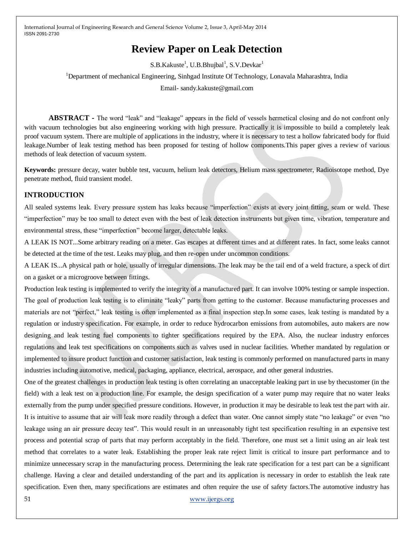# **Review Paper on Leak Detection**

S.B.Kakuste<sup>1</sup>, U.B.Bhujbal<sup>1</sup>, S.V.Devkar<sup>1</sup>

<sup>1</sup>Department of mechanical Engineering, Sinhgad Institute Of Technology, Lonavala Maharashtra, India

Email- sandy.kakuste@gmail.com

**ABSTRACT -** The word "leak" and "leakage" appears in the field of vessels hermetical closing and do not confront only with vacuum technologies but also engineering working with high pressure. Practically it is impossible to build a completely leak proof vacuum system. There are multiple of applications in the industry, where it is necessary to test a hollow fabricated body for fluid leakage.Number of leak testing method has been proposed for testing of hollow components.This paper gives a review of various methods of leak detection of vacuum system.

**Keywords:** pressure decay, water bubble test, vacuum, helium leak detectors, Helium mass spectrometer, Radioisotope method, Dye penetrate method, fluid transient model.

# **INTRODUCTION**

All sealed systems leak. Every pressure system has leaks because "imperfection" exists at every joint fitting, seam or weld. These "imperfection" may be too small to detect even with the best of leak detection instruments but given time, vibration, temperature and environmental stress, these "imperfection" become larger, detectable leaks.

A LEAK IS NOT...Some arbitrary reading on a meter. Gas escapes at different times and at different rates. In fact, some leaks cannot be detected at the time of the test. Leaks may plug, and then re-open under uncommon conditions.

A LEAK IS...A physical path or hole, usually of irregular dimensions. The leak may be the tail end of a weld fracture, a speck of dirt on a gasket or a microgroove between fittings.

Production leak testing is implemented to verify the integrity of a manufactured part. It can involve 100% testing or sample inspection. The goal of production leak testing is to eliminate "leaky" parts from getting to the customer. Because manufacturing processes and materials are not "perfect," leak testing is often implemented as a final inspection step.In some cases, leak testing is mandated by a regulation or industry specification. For example, in order to reduce hydrocarbon emissions from automobiles, auto makers are now designing and leak testing fuel components to tighter specifications required by the EPA. Also, the nuclear industry enforces regulations and leak test specifications on components such as valves used in nuclear facilities. Whether mandated by regulation or implemented to insure product function and customer satisfaction, leak testing is commonly performed on manufactured parts in many industries including automotive, medical, packaging, appliance, electrical, aerospace, and other general industries.

One of the greatest challenges in production leak testing is often correlating an unacceptable leaking part in use by thecustomer (in the field) with a leak test on a production line. For example, the design specification of a water pump may require that no water leaks externally from the pump under specified pressure conditions. However, in production it may be desirable to leak test the part with air. It is intuitive to assume that air will leak more readily through a defect than water. One cannot simply state "no leakage" or even "no leakage using an air pressure decay test". This would result in an unreasonably tight test specification resulting in an expensive test process and potential scrap of parts that may perform acceptably in the field. Therefore, one must set a limit using an air leak test method that correlates to a water leak. Establishing the proper leak rate reject limit is critical to insure part performance and to minimize unnecessary scrap in the manufacturing process. Determining the leak rate specification for a test part can be a significant challenge. Having a clear and detailed understanding of the part and its application is necessary in order to establish the leak rate specification. Even then, many specifications are estimates and often require the use of safety factors.The automotive industry has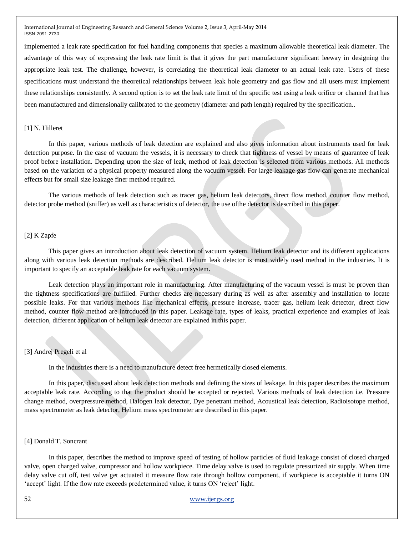implemented a leak rate specification for fuel handling components that species a maximum allowable theoretical leak diameter. The advantage of this way of expressing the leak rate limit is that it gives the part manufacturer significant leeway in designing the appropriate leak test. The challenge, however, is correlating the theoretical leak diameter to an actual leak rate. Users of these specifications must understand the theoretical relationships between leak hole geometry and gas flow and all users must implement these relationships consistently. A second option is to set the leak rate limit of the specific test using a leak orifice or channel that has been manufactured and dimensionally calibrated to the geometry (diameter and path length) required by the specification..

## [1] N. Hilleret

In this paper, various methods of leak detection are explained and also gives information about instruments used for leak detection purpose. In the case of vacuum the vessels, it is necessary to check that tightness of vessel by means of guarantee of leak proof before installation. Depending upon the size of leak, method of leak detection is selected from various methods. All methods based on the variation of a physical property measured along the vacuum vessel. For large leakage gas flow can generate mechanical effects but for small size leakage finer method required.

The various methods of leak detection such as tracer gas, helium leak detectors, direct flow method, counter flow method, detector probe method (sniffer) as well as characteristics of detector, the use ofthe detector is described in this paper.

## [2] K Zapfe

This paper gives an introduction about leak detection of vacuum system. Helium leak detector and its different applications along with various leak detection methods are described. Helium leak detector is most widely used method in the industries. It is important to specify an acceptable leak rate for each vacuum system.

Leak detection plays an important role in manufacturing. After manufacturing of the vacuum vessel is must be proven than the tightness specifications are fulfilled. Further checks are necessary during as well as after assembly and installation to locate possible leaks. For that various methods like mechanical effects, pressure increase, tracer gas, helium leak detector, direct flow method, counter flow method are introduced in this paper. Leakage rate, types of leaks, practical experience and examples of leak detection, different application of helium leak detector are explained in this paper.

#### [3] Andrej Pregeli et al

In the industries there is a need to manufacture detect free hermetically closed elements.

In this paper, discussed about leak detection methods and defining the sizes of leakage. In this paper describes the maximum acceptable leak rate. According to that the product should be accepted or rejected. Various methods of leak detection i.e. Pressure change method, overpressure method, Halogen leak detector, Dye penetrant method, Acoustical leak detection, Radioisotope method, mass spectrometer as leak detector, Helium mass spectrometer are described in this paper.

### [4] Donald T. Soncrant

In this paper, describes the method to improve speed of testing of hollow particles of fluid leakage consist of closed charged valve, open charged valve, compressor and hollow workpiece. Time delay valve is used to regulate pressurized air supply. When time delay valve cut off, test valve get actuated it measure flow rate through hollow component, if workpiece is acceptable it turns ON 'accept' light. If the flow rate exceeds predetermined value, it turns ON 'reject' light.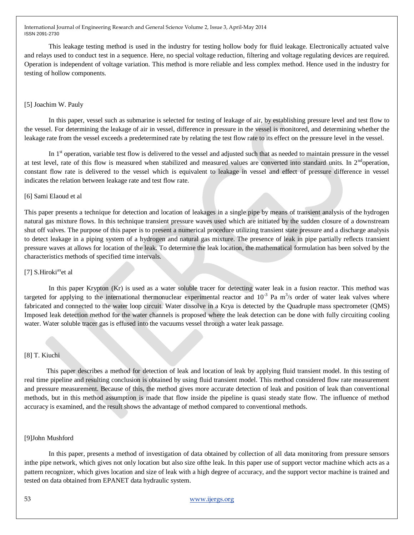This leakage testing method is used in the industry for testing hollow body for fluid leakage. Electronically actuated valve and relays used to conduct test in a sequence. Here, no special voltage reduction, filtering and voltage regulating devices are required. Operation is independent of voltage variation. This method is more reliable and less complex method. Hence used in the industry for testing of hollow components.

# [5] Joachim W. Pauly

In this paper, vessel such as submarine is selected for testing of leakage of air, by establishing pressure level and test flow to the vessel. For determining the leakage of air in vessel, difference in pressure in the vessel is monitored, and determining whether the leakage rate from the vessel exceeds a predetermined rate by relating the test flow rate to its effect on the pressure level in the vessel.

In 1<sup>st</sup> operation, variable test flow is delivered to the vessel and adjusted such that as needed to maintain pressure in the vessel at test level, rate of this flow is measured when stabilized and measured values are converted into standard units. In  $2<sup>nd</sup>$  operation, constant flow rate is delivered to the vessel which is equivalent to leakage in vessel and effect of pressure difference in vessel indicates the relation between leakage rate and test flow rate.

# [6] Sami Elaoud et al

This paper presents a technique for detection and location of leakages in a single pipe by means of transient analysis of the hydrogen natural gas mixture flows. In this technique transient pressure waves used which are initiated by the sudden closure of a downstream shut off valves. The purpose of this paper is to present a numerical procedure utilizing transient state pressure and a discharge analysis to detect leakage in a piping system of a hydrogen and natural gas mixture. The presence of leak in pipe partially reflects transient pressure waves at allows for location of the leak. To determine the leak location, the mathematical formulation has been solved by the characteristics methods of specified time intervals.

# [7] S.Hiroki<sup>ax</sup>et al

In this paper Krypton (Kr) is used as a water soluble tracer for detecting water leak in a fusion reactor. This method was targeted for applying to the international thermonuclear experimental reactor and  $10^{-3}$  Pa m $3/s$  order of water leak valves where fabricated and connected to the water loop circuit. Water dissolve in a Krya is detected by the Quadruple mass spectrometer (QMS) Imposed leak detection method for the water channels is proposed where the leak detection can be done with fully circuiting cooling water. Water soluble tracer gas is effused into the vacuums vessel through a water leak passage.

# [8] T. Kiuchi

 This paper describes a method for detection of leak and location of leak by applying fluid transient model. In this testing of real time pipeline and resulting conclusion is obtained by using fluid transient model. This method considered flow rate measurement and pressure measurement. Because of this, the method gives more accurate detection of leak and position of leak than conventional methods, but in this method assumption is made that flow inside the pipeline is quasi steady state flow. The influence of method accuracy is examined, and the result shows the advantage of method compared to conventional methods.

# [9]John Mushford

In this paper, presents a method of investigation of data obtained by collection of all data monitoring from pressure sensors inthe pipe network, which gives not only location but also size ofthe leak. In this paper use of support vector machine which acts as a pattern recognizer, which gives location and size of leak with a high degree of accuracy, and the support vector machine is trained and tested on data obtained from EPANET data hydraulic system.